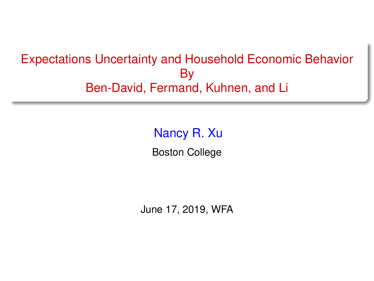### <span id="page-0-0"></span>Expectations Uncertainty and Household Economic Behavior By Ben-David, Fermand, Kuhnen, and Li

Nancy R. Xu Boston College

June 17, 2019, WFA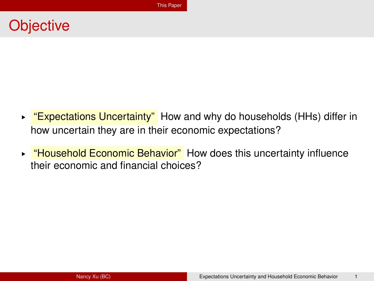# <span id="page-1-0"></span>**Objective**

- ► "Expectations Uncertainty" How and why do households (HHs) differ in how uncertain they are in their economic expectations?
- ► "Household Economic Behavior" How does this uncertainty influence their economic and financial choices?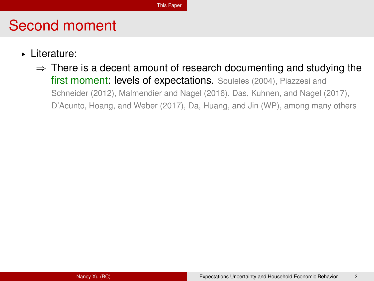- § Literature:
	- $\Rightarrow$  There is a decent amount of research documenting and studying the first moment: levels of expectations. Souleles (2004), Piazzesi and Schneider (2012), Malmendier and Nagel (2016), Das, Kuhnen, and Nagel (2017), D'Acunto, Hoang, and Weber (2017), Da, Huang, and Jin (WP), among many others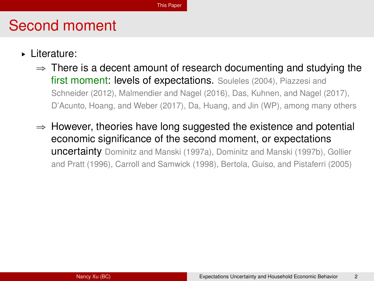- § Literature:
	- $\Rightarrow$  There is a decent amount of research documenting and studying the first moment: levels of expectations. Souleles (2004), Piazzesi and Schneider (2012), Malmendier and Nagel (2016), Das, Kuhnen, and Nagel (2017), D'Acunto, Hoang, and Weber (2017), Da, Huang, and Jin (WP), among many others
	- $\Rightarrow$  However, theories have long suggested the existence and potential economic significance of the second moment, or expectations uncertainty Dominitz and Manski (1997a), Dominitz and Manski (1997b), Gollier and Pratt (1996), Carroll and Samwick (1998), Bertola, Guiso, and Pistaferri (2005)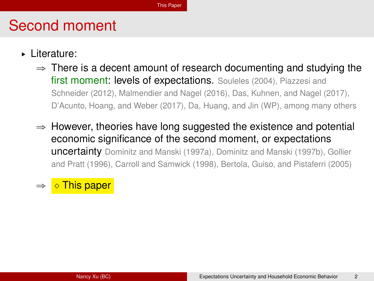- § Literature:
	- $\Rightarrow$  There is a decent amount of research documenting and studying the first moment: levels of expectations. Souleles (2004), Piazzesi and Schneider (2012), Malmendier and Nagel (2016), Das, Kuhnen, and Nagel (2017), D'Acunto, Hoang, and Weber (2017), Da, Huang, and Jin (WP), among many others
	- $\Rightarrow$  However, theories have long suggested the existence and potential economic significance of the second moment, or expectations uncertainty Dominitz and Manski (1997a), Dominitz and Manski (1997b), Gollier and Pratt (1996), Carroll and Samwick (1998), Bertola, Guiso, and Pistaferri (2005)

#### This paper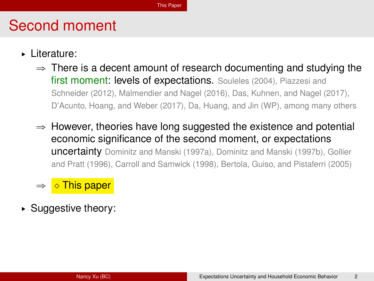- § Literature:
	- $\Rightarrow$  There is a decent amount of research documenting and studying the first moment: levels of expectations. Souleles (2004), Piazzesi and Schneider (2012), Malmendier and Nagel (2016), Das, Kuhnen, and Nagel (2017), D'Acunto, Hoang, and Weber (2017), Da, Huang, and Jin (WP), among many others
	- $\Rightarrow$  However, theories have long suggested the existence and potential economic significance of the second moment, or expectations uncertainty Dominitz and Manski (1997a), Dominitz and Manski (1997b), Gollier and Pratt (1996), Carroll and Samwick (1998), Bertola, Guiso, and Pistaferri (2005)
	- This paper
- ► Suggestive theory: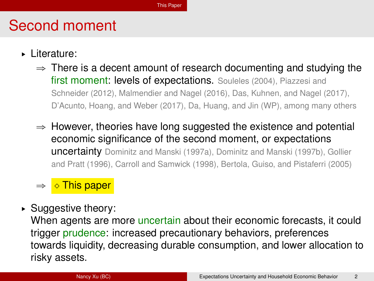- § Literature:
	- $\Rightarrow$  There is a decent amount of research documenting and studying the first moment: levels of expectations. Souleles (2004), Piazzesi and Schneider (2012), Malmendier and Nagel (2016), Das, Kuhnen, and Nagel (2017), D'Acunto, Hoang, and Weber (2017), Da, Huang, and Jin (WP), among many others
	- $\Rightarrow$  However, theories have long suggested the existence and potential economic significance of the second moment, or expectations uncertainty Dominitz and Manski (1997a), Dominitz and Manski (1997b), Gollier and Pratt (1996), Carroll and Samwick (1998), Bertola, Guiso, and Pistaferri (2005)

#### This paper

► Suggestive theory:

When agents are more uncertain about their economic forecasts, it could trigger prudence: increased precautionary behaviors, preferences towards liquidity, decreasing durable consumption, and lower allocation to risky assets.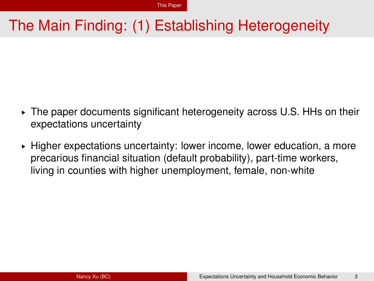# The Main Finding: (1) Establishing Heterogeneity

- $\triangleright$  The paper documents significant heterogeneity across U.S. HHs on their expectations uncertainty
- ► Higher expectations uncertainty: lower income, lower education, a more precarious financial situation (default probability), part-time workers, living in counties with higher unemployment, female, non-white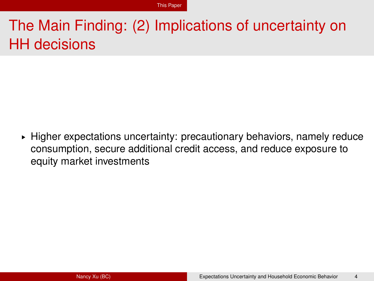# The Main Finding: (2) Implications of uncertainty on HH decisions

 $\blacktriangleright$  Higher expectations uncertainty: precautionary behaviors, namely reduce consumption, secure additional credit access, and reduce exposure to equity market investments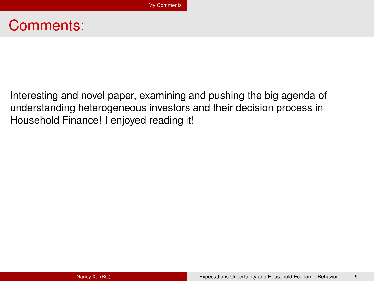## <span id="page-9-0"></span>Comments:

Interesting and novel paper, examining and pushing the big agenda of understanding heterogeneous investors and their decision process in Household Finance! I enjoyed reading it!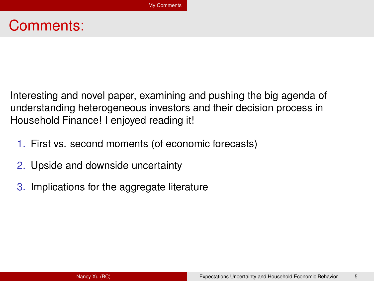# Comments:

Interesting and novel paper, examining and pushing the big agenda of understanding heterogeneous investors and their decision process in Household Finance! I enjoyed reading it!

- 1. First vs. second moments (of economic forecasts)
- 2. Upside and downside uncertainty
- 3. Implications for the aggregate literature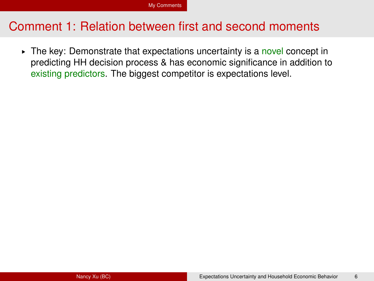► The key: Demonstrate that expectations uncertainty is a novel concept in predicting HH decision process & has economic significance in addition to existing predictors. The biggest competitor is expectations level.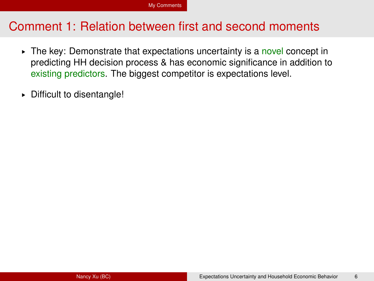- ► The key: Demonstrate that expectations uncertainty is a novel concept in predicting HH decision process & has economic significance in addition to existing predictors. The biggest competitor is expectations level.
- § Difficult to disentangle!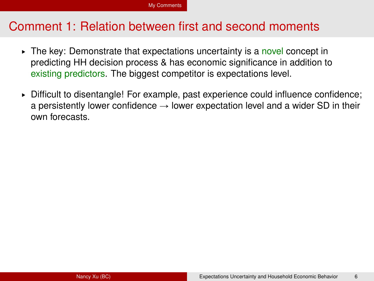- $\triangleright$  The key: Demonstrate that expectations uncertainty is a novel concept in predicting HH decision process & has economic significance in addition to existing predictors. The biggest competitor is expectations level.
- § Difficult to disentangle! For example, past experience could influence confidence; a persistently lower confidence  $\rightarrow$  lower expectation level and a wider SD in their own forecasts.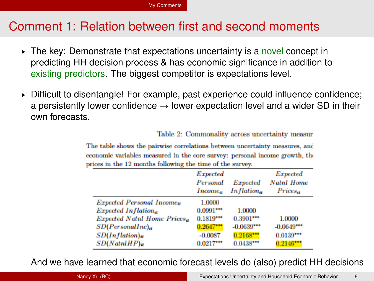- $\triangleright$  The key: Demonstrate that expectations uncertainty is a novel concept in predicting HH decision process & has economic significance in addition to existing predictors. The biggest competitor is expectations level.
- § Difficult to disentangle! For example, past experience could influence confidence; a persistently lower confidence  $\rightarrow$  lower expectation level and a wider SD in their own forecasts.

Table 2: Commonality across uncertainty measur

The table shows the pairwise correlations between uncertainty measures, and economic variables measured in the core survey: personal income growth, the prices in the 12 months following the time of the survey.

|                                                                                                                                                                                             | Expected<br>Personal<br>Income <sub>a</sub>                                     | Expected<br>In flation.,                                            | Expected<br><b>Natnl Home</b><br>$Prices_{it}$       |
|---------------------------------------------------------------------------------------------------------------------------------------------------------------------------------------------|---------------------------------------------------------------------------------|---------------------------------------------------------------------|------------------------------------------------------|
| <b>Expected Personal Income<sub>it</sub></b><br>Expected Inflational<br><b>Expected Natnl Home Prices,</b><br>$SD(PersonalInc)_{it}$<br>$SD(Inflation)_{it}$<br>$SD(NatnHPP)$ <sub>it</sub> | 1.0000<br>$0.0991***$<br>$0.1819***$<br>$0.2647***$<br>$-0.0087$<br>$0.0217***$ | 1.0000<br>$0.3901***$<br>$-0.0639***$<br>$0.2168***$<br>$0.0438***$ | 1.0000<br>$-0.0649***$<br>$0.0139***$<br>$0.2146***$ |

And we have learned that economic forecast levels do (also) predict HH decisions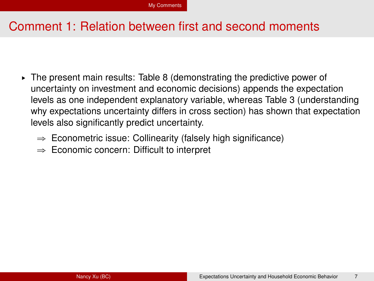- $\triangleright$  The present main results: Table 8 (demonstrating the predictive power of uncertainty on investment and economic decisions) appends the expectation levels as one independent explanatory variable, whereas Table 3 (understanding why expectations uncertainty differs in cross section) has shown that expectation levels also significantly predict uncertainty.
	- $\Rightarrow$  Econometric issue: Collinearity (falsely high significance)
	- $\Rightarrow$  Economic concern: Difficult to interpret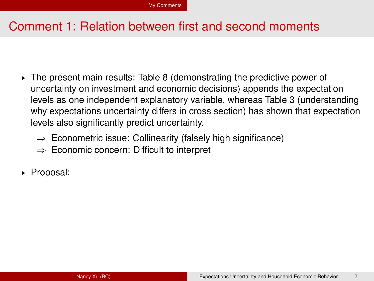- $\triangleright$  The present main results: Table 8 (demonstrating the predictive power of uncertainty on investment and economic decisions) appends the expectation levels as one independent explanatory variable, whereas Table 3 (understanding why expectations uncertainty differs in cross section) has shown that expectation levels also significantly predict uncertainty.
	- $\Rightarrow$  Econometric issue: Collinearity (falsely high significance)
	- $\Rightarrow$  Economic concern: Difficult to interpret
- ► Proposal: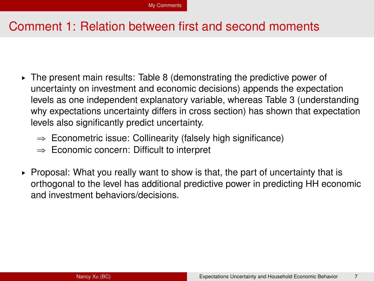- $\triangleright$  The present main results: Table 8 (demonstrating the predictive power of uncertainty on investment and economic decisions) appends the expectation levels as one independent explanatory variable, whereas Table 3 (understanding why expectations uncertainty differs in cross section) has shown that expectation levels also significantly predict uncertainty.
	- $\Rightarrow$  Econometric issue: Collinearity (falsely high significance)
	- $\Rightarrow$  Economic concern: Difficult to interpret
- $\triangleright$  Proposal: What you really want to show is that, the part of uncertainty that is orthogonal to the level has additional predictive power in predicting HH economic and investment behaviors/decisions.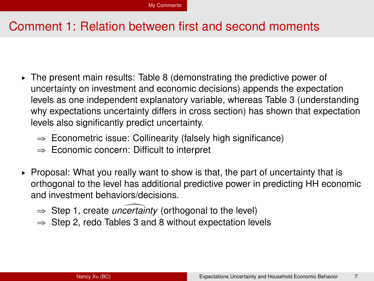- $\triangleright$  The present main results: Table 8 (demonstrating the predictive power of uncertainty on investment and economic decisions) appends the expectation levels as one independent explanatory variable, whereas Table 3 (understanding why expectations uncertainty differs in cross section) has shown that expectation levels also significantly predict uncertainty.
	- $\Rightarrow$  Econometric issue: Collinearity (falsely high significance)
	- $\Rightarrow$  Economic concern: Difficult to interpret
- $\triangleright$  Proposal: What you really want to show is that, the part of uncertainty that is orthogonal to the level has additional predictive power in predicting HH economic and investment behaviors/decisions.
	- $\Rightarrow$  Step 1, create *uncertainty* (orthogonal to the level)
	- $\Rightarrow$  Step 2, redo Tables 3 and 8 without expectation levels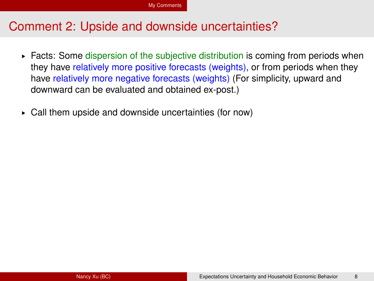- ► Facts: Some dispersion of the subjective distribution is coming from periods when they have relatively more positive forecasts (weights), or from periods when they have relatively more negative forecasts (weights) (For simplicity, upward and downward can be evaluated and obtained ex-post.)
- § Call them upside and downside uncertainties (for now)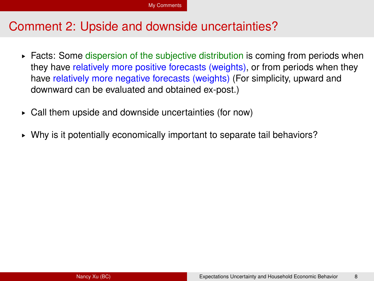- ► Facts: Some dispersion of the subjective distribution is coming from periods when they have relatively more positive forecasts (weights), or from periods when they have relatively more negative forecasts (weights) (For simplicity, upward and downward can be evaluated and obtained ex-post.)
- § Call them upside and downside uncertainties (for now)
- § Why is it potentially economically important to separate tail behaviors?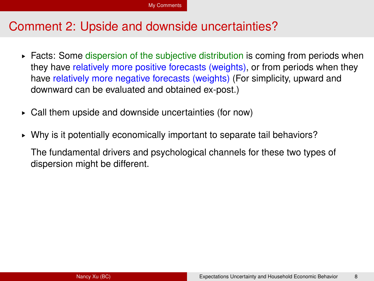- ► Facts: Some dispersion of the subjective distribution is coming from periods when they have relatively more positive forecasts (weights), or from periods when they have relatively more negative forecasts (weights) (For simplicity, upward and downward can be evaluated and obtained ex-post.)
- § Call them upside and downside uncertainties (for now)
- § Why is it potentially economically important to separate tail behaviors?

The fundamental drivers and psychological channels for these two types of dispersion might be different.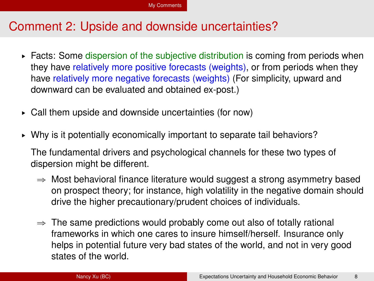- ► Facts: Some dispersion of the subjective distribution is coming from periods when they have relatively more positive forecasts (weights), or from periods when they have relatively more negative forecasts (weights) (For simplicity, upward and downward can be evaluated and obtained ex-post.)
- § Call them upside and downside uncertainties (for now)
- § Why is it potentially economically important to separate tail behaviors?

The fundamental drivers and psychological channels for these two types of dispersion might be different.

- $\Rightarrow$  Most behavioral finance literature would suggest a strong asymmetry based on prospect theory; for instance, high volatility in the negative domain should drive the higher precautionary/prudent choices of individuals.
- $\Rightarrow$  The same predictions would probably come out also of totally rational frameworks in which one cares to insure himself/herself. Insurance only helps in potential future very bad states of the world, and not in very good states of the world.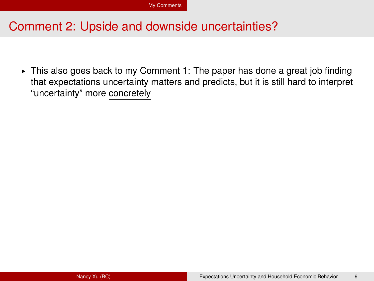§ This also goes back to my Comment 1: The paper has done a great job finding that expectations uncertainty matters and predicts, but it is still hard to interpret "uncertainty" more concretely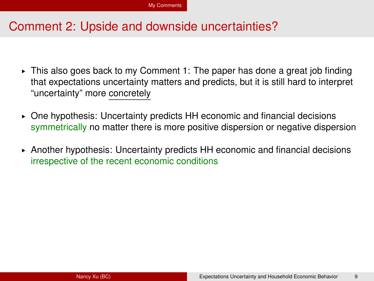- § This also goes back to my Comment 1: The paper has done a great job finding that expectations uncertainty matters and predicts, but it is still hard to interpret "uncertainty" more concretely
- $\triangleright$  One hypothesis: Uncertainty predicts HH economic and financial decisions symmetrically no matter there is more positive dispersion or negative dispersion
- § Another hypothesis: Uncertainty predicts HH economic and financial decisions irrespective of the recent economic conditions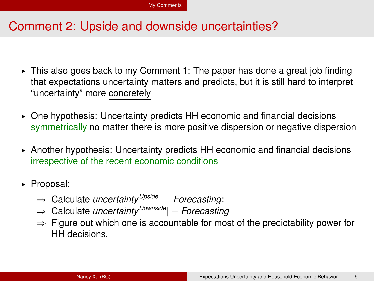- § This also goes back to my Comment 1: The paper has done a great job finding that expectations uncertainty matters and predicts, but it is still hard to interpret "uncertainty" more concretely
- $\triangleright$  One hypothesis: Uncertainty predicts HH economic and financial decisions symmetrically no matter there is more positive dispersion or negative dispersion
- § Another hypothesis: Uncertainty predicts HH economic and financial decisions irrespective of the recent economic conditions
- § Proposal:
	- $\Rightarrow$  Calculate *uncertainty* <sup>Upside</sup>| + Forecasting:
	- $\Rightarrow$  Calculate *uncertainty* <sup>Downside</sup> |  *Forecasting*
	- $\Rightarrow$  Figure out which one is accountable for most of the predictability power for HH decisions.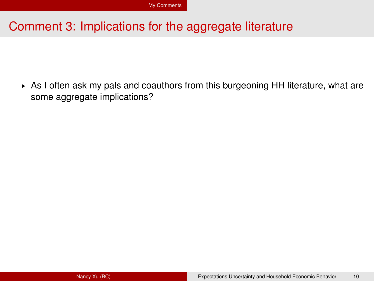► As I often ask my pals and coauthors from this burgeoning HH literature, what are some aggregate implications?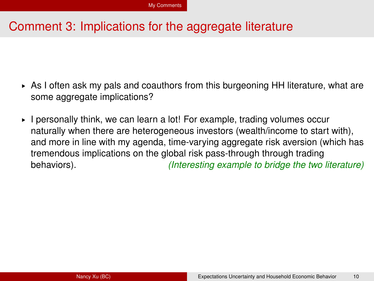- $\triangleright$  As I often ask my pals and coauthors from this burgeoning HH literature, what are some aggregate implications?
- § I personally think, we can learn a lot! For example, trading volumes occur naturally when there are heterogeneous investors (wealth/income to start with), and more in line with my agenda, time-varying aggregate risk aversion (which has tremendous implications on the global risk pass-through through trading behaviors). *(Interesting example to bridge the two literature)*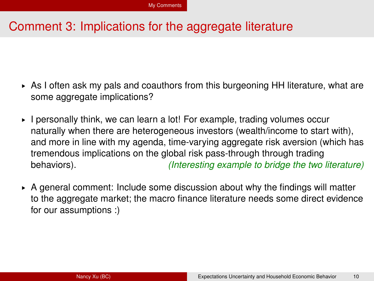- $\triangleright$  As I often ask my pals and coauthors from this burgeoning HH literature, what are some aggregate implications?
- § I personally think, we can learn a lot! For example, trading volumes occur naturally when there are heterogeneous investors (wealth/income to start with), and more in line with my agenda, time-varying aggregate risk aversion (which has tremendous implications on the global risk pass-through through trading behaviors). *(Interesting example to bridge the two literature)*
- $\triangleright$  A general comment: Include some discussion about why the findings will matter to the aggregate market; the macro finance literature needs some direct evidence for our assumptions :)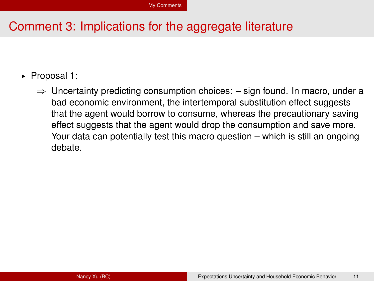- ▶ Proposal 1:
	- $\Rightarrow$  Uncertainty predicting consumption choices:  $-$  sign found. In macro, under a bad economic environment, the intertemporal substitution effect suggests that the agent would borrow to consume, whereas the precautionary saving effect suggests that the agent would drop the consumption and save more. Your data can potentially test this macro question – which is still an ongoing debate.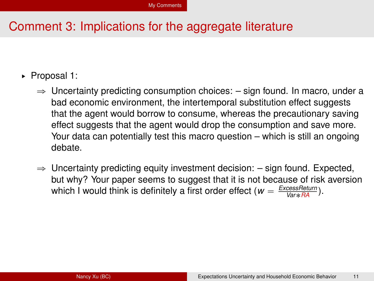- ▶ Proposal 1:
	- $\Rightarrow$  Uncertainty predicting consumption choices:  $-$  sign found. In macro, under a bad economic environment, the intertemporal substitution effect suggests that the agent would borrow to consume, whereas the precautionary saving effect suggests that the agent would drop the consumption and save more. Your data can potentially test this macro question – which is still an ongoing debate.
	- $\Rightarrow$  Uncertainty predicting equity investment decision:  $-$  sign found. Expected, but why? Your paper seems to suggest that it is not because of risk aversion which I would think is definitely a first order effect ( $w = \frac{ExcessReturn}{Var * \frac{RA}{}}$ ).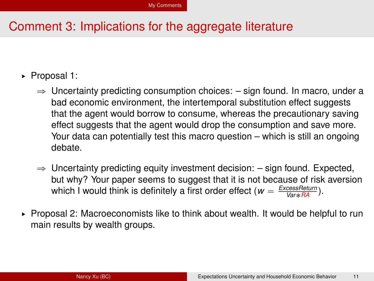- ▶ Proposal 1:
	- $\Rightarrow$  Uncertainty predicting consumption choices:  $-$  sign found. In macro, under a bad economic environment, the intertemporal substitution effect suggests that the agent would borrow to consume, whereas the precautionary saving effect suggests that the agent would drop the consumption and save more. Your data can potentially test this macro question – which is still an ongoing debate.
	- $\Rightarrow$  Uncertainty predicting equity investment decision:  $-$  sign found. Expected, but why? Your paper seems to suggest that it is not because of risk aversion which I would think is definitely a first order effect ( $w = \frac{ExcessReturn}{Var * \frac{RA}{}}$ ).
- ► Proposal 2: Macroeconomists like to think about wealth. It would be helpful to run main results by wealth groups.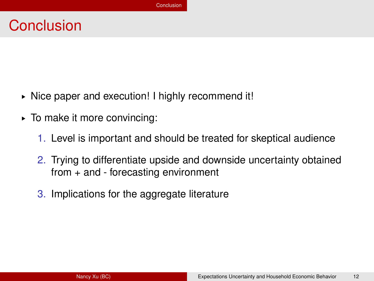# <span id="page-32-0"></span>**Conclusion**

- ► Nice paper and execution! I highly recommend it!
- § To make it more convincing:
	- 1. Level is important and should be treated for skeptical audience
	- 2. Trying to differentiate upside and downside uncertainty obtained from + and - forecasting environment
	- 3. Implications for the aggregate literature